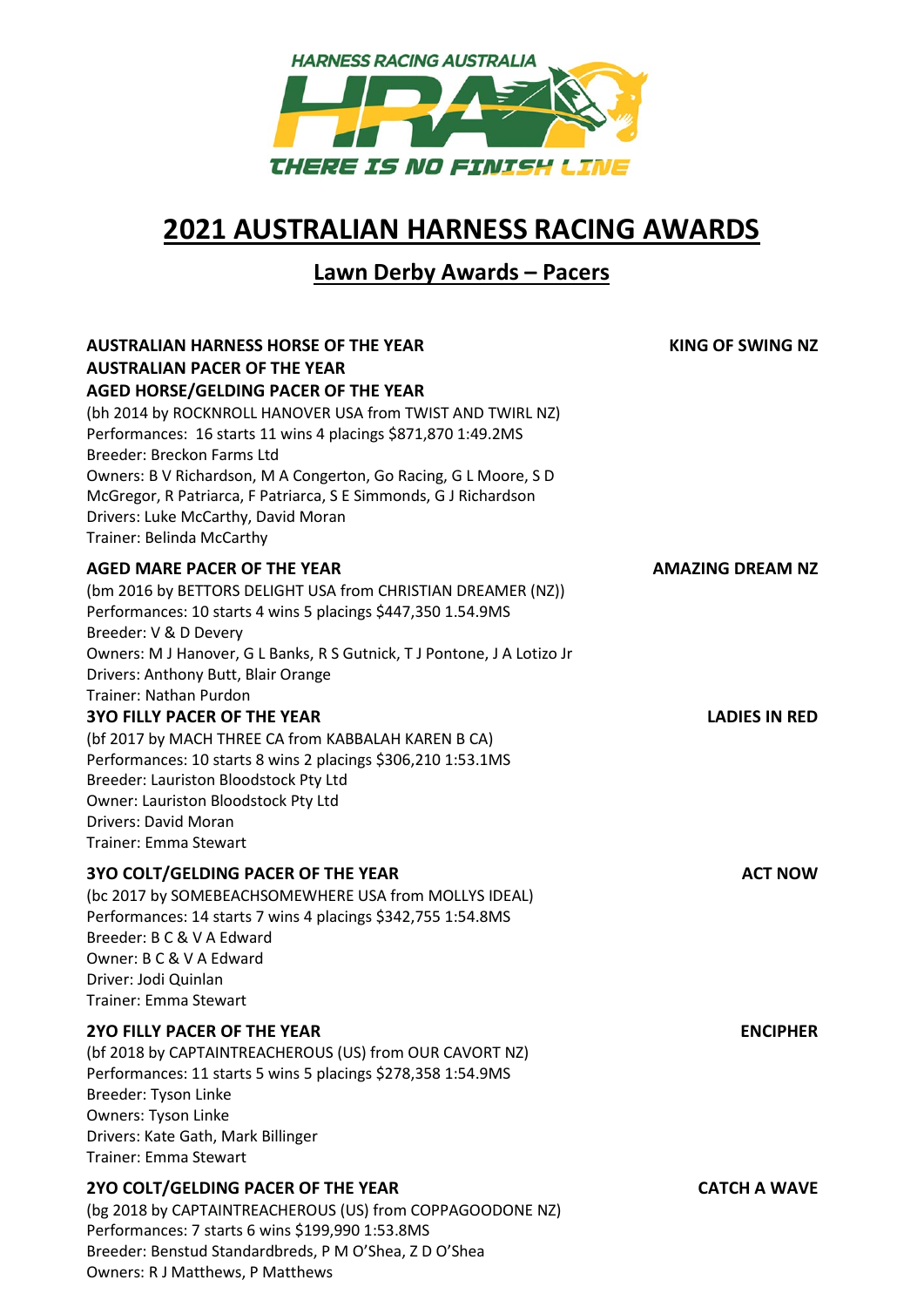

## **2021 AUSTRALIAN HARNESS RACING AWARDS**

## **Lawn Derby Awards – Pacers**

| <b>AUSTRALIAN HARNESS HORSE OF THE YEAR</b><br><b>AUSTRALIAN PACER OF THE YEAR</b><br>AGED HORSE/GELDING PACER OF THE YEAR<br>(bh 2014 by ROCKNROLL HANOVER USA from TWIST AND TWIRL NZ)<br>Performances: 16 starts 11 wins 4 placings \$871,870 1:49.2MS<br>Breeder: Breckon Farms Ltd<br>Owners: B V Richardson, M A Congerton, Go Racing, G L Moore, S D<br>McGregor, R Patriarca, F Patriarca, S E Simmonds, G J Richardson<br>Drivers: Luke McCarthy, David Moran<br>Trainer: Belinda McCarthy | <b>KING OF SWING NZ</b> |
|-----------------------------------------------------------------------------------------------------------------------------------------------------------------------------------------------------------------------------------------------------------------------------------------------------------------------------------------------------------------------------------------------------------------------------------------------------------------------------------------------------|-------------------------|
| <b>AGED MARE PACER OF THE YEAR</b><br>(bm 2016 by BETTORS DELIGHT USA from CHRISTIAN DREAMER (NZ))<br>Performances: 10 starts 4 wins 5 placings \$447,350 1.54.9MS<br>Breeder: V & D Devery<br>Owners: M J Hanover, G L Banks, R S Gutnick, T J Pontone, J A Lotizo Jr<br>Drivers: Anthony Butt, Blair Orange<br>Trainer: Nathan Purdon                                                                                                                                                             | <b>AMAZING DREAM NZ</b> |
| <b>3YO FILLY PACER OF THE YEAR</b><br>(bf 2017 by MACH THREE CA from KABBALAH KAREN B CA)<br>Performances: 10 starts 8 wins 2 placings \$306,210 1:53.1MS<br>Breeder: Lauriston Bloodstock Pty Ltd<br>Owner: Lauriston Bloodstock Pty Ltd<br><b>Drivers: David Moran</b><br><b>Trainer: Emma Stewart</b>                                                                                                                                                                                            | <b>LADIES IN RED</b>    |
| <b>3YO COLT/GELDING PACER OF THE YEAR</b><br>(bc 2017 by SOMEBEACHSOMEWHERE USA from MOLLYS IDEAL)<br>Performances: 14 starts 7 wins 4 placings \$342,755 1:54.8MS<br>Breeder: B C & V A Edward<br>Owner: B C & V A Edward<br>Driver: Jodi Quinlan<br><b>Trainer: Emma Stewart</b>                                                                                                                                                                                                                  | <b>ACT NOW</b>          |
| 2YO FILLY PACER OF THE YEAR<br>(bf 2018 by CAPTAINTREACHEROUS (US) from OUR CAVORT NZ)<br>Performances: 11 starts 5 wins 5 placings \$278,358 1:54.9MS<br>Breeder: Tyson Linke<br>Owners: Tyson Linke<br>Drivers: Kate Gath, Mark Billinger<br><b>Trainer: Emma Stewart</b>                                                                                                                                                                                                                         | <b>ENCIPHER</b>         |
| 2YO COLT/GELDING PACER OF THE YEAR<br>(bg 2018 by CAPTAINTREACHEROUS (US) from COPPAGOODONE NZ)<br>Performances: 7 starts 6 wins \$199,990 1:53.8MS<br>Breeder: Benstud Standardbreds, P M O'Shea, Z D O'Shea<br>Owners: R J Matthews, P Matthews                                                                                                                                                                                                                                                   | <b>CATCH A WAVE</b>     |